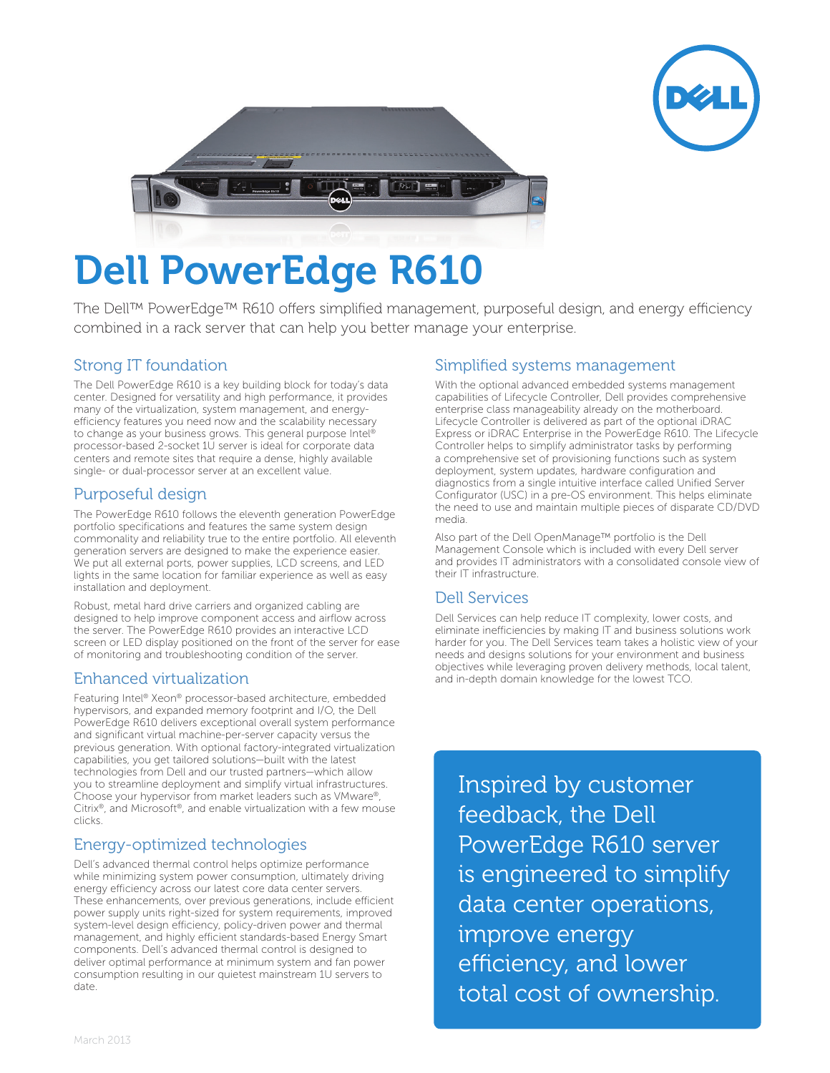



# Dell PowerEdge R610

The Dell™ PowerEdge™ R610 offers simplified management, purposeful design, and energy efficiency combined in a rack server that can help you better manage your enterprise.

# Strong IT foundation

The Dell PowerEdge R610 is a key building block for today's data center. Designed for versatility and high performance, it provides many of the virtualization, system management, and energyefficiency features you need now and the scalability necessary to change as your business grows. This general purpose Intel® processor-based 2-socket 1U server is ideal for corporate data centers and remote sites that require a dense, highly available single- or dual-processor server at an excellent value.

## Purposeful design

The PowerEdge R610 follows the eleventh generation PowerEdge portfolio specifications and features the same system design commonality and reliability true to the entire portfolio. All eleventh generation servers are designed to make the experience easier. We put all external ports, power supplies, LCD screens, and LED lights in the same location for familiar experience as well as easy installation and deployment.

Robust, metal hard drive carriers and organized cabling are designed to help improve component access and airflow across the server. The PowerEdge R610 provides an interactive LCD screen or LED display positioned on the front of the server for ease of monitoring and troubleshooting condition of the server.

# Enhanced virtualization

Featuring Intel® Xeon® processor-based architecture, embedded hypervisors, and expanded memory footprint and I/O, the Dell PowerEdge R610 delivers exceptional overall system performance and significant virtual machine-per-server capacity versus the previous generation. With optional factory-integrated virtualization capabilities, you get tailored solutions—built with the latest technologies from Dell and our trusted partners—which allow you to streamline deployment and simplify virtual infrastructures. Choose your hypervisor from market leaders such as VMware®, Citrix®, and Microsoft®, and enable virtualization with a few mouse clicks.

## Energy-optimized technologies

Dell's advanced thermal control helps optimize performance while minimizing system power consumption, ultimately driving energy efficiency across our latest core data center servers. These enhancements, over previous generations, include efficient power supply units right-sized for system requirements, improved system-level design efficiency, policy-driven power and thermal management, and highly efficient standards-based Energy Smart components. Dell's advanced thermal control is designed to deliver optimal performance at minimum system and fan power consumption resulting in our quietest mainstream 1U servers to date.

## Simplified systems management

With the optional advanced embedded systems management capabilities of Lifecycle Controller, Dell provides comprehensive enterprise class manageability already on the motherboard. Lifecycle Controller is delivered as part of the optional iDRAC Express or iDRAC Enterprise in the PowerEdge R610. The Lifecycle Controller helps to simplify administrator tasks by performing a comprehensive set of provisioning functions such as system deployment, system updates, hardware configuration and diagnostics from a single intuitive interface called Unified Server Configurator (USC) in a pre-OS environment. This helps eliminate the need to use and maintain multiple pieces of disparate CD/DVD media.

Also part of the Dell OpenManage™ portfolio is the Dell Management Console which is included with every Dell server and provides IT administrators with a consolidated console view of their IT infrastructure.

## Dell Services

Dell Services can help reduce IT complexity, lower costs, and eliminate inefficiencies by making IT and business solutions work harder for you. The Dell Services team takes a holistic view of your needs and designs solutions for your environment and business objectives while leveraging proven delivery methods, local talent, and in-depth domain knowledge for the lowest TCO.

Inspired by customer feedback, the Dell PowerEdge R610 server is engineered to simplify data center operations, improve energy efficiency, and lower total cost of ownership.